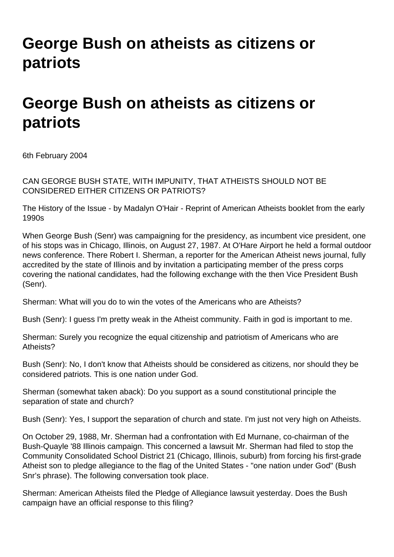## **George Bush on atheists as citizens or patriots**

## **George Bush on atheists as citizens or patriots**

6th February 2004

CAN GEORGE BUSH STATE, WITH IMPUNITY, THAT ATHEISTS SHOULD NOT BE CONSIDERED EITHER CITIZENS OR PATRIOTS?

The History of the Issue - by Madalyn O'Hair - Reprint of American Atheists booklet from the early 1990s

When George Bush (Senr) was campaigning for the presidency, as incumbent vice president, one of his stops was in Chicago, Illinois, on August 27, 1987. At O'Hare Airport he held a formal outdoor news conference. There Robert I. Sherman, a reporter for the American Atheist news journal, fully accredited by the state of Illinois and by invitation a participating member of the press corps covering the national candidates, had the following exchange with the then Vice President Bush (Senr).

Sherman: What will you do to win the votes of the Americans who are Atheists?

Bush (Senr): I guess I'm pretty weak in the Atheist community. Faith in god is important to me.

Sherman: Surely you recognize the equal citizenship and patriotism of Americans who are Atheists?

Bush (Senr): No, I don't know that Atheists should be considered as citizens, nor should they be considered patriots. This is one nation under God.

Sherman (somewhat taken aback): Do you support as a sound constitutional principle the separation of state and church?

Bush (Senr): Yes, I support the separation of church and state. I'm just not very high on Atheists.

On October 29, 1988, Mr. Sherman had a confrontation with Ed Murnane, co-chairman of the Bush-Quayle '88 Illinois campaign. This concerned a lawsuit Mr. Sherman had filed to stop the Community Consolidated School District 21 (Chicago, Illinois, suburb) from forcing his first-grade Atheist son to pledge allegiance to the flag of the United States - "one nation under God" (Bush Snr's phrase). The following conversation took place.

Sherman: American Atheists filed the Pledge of Allegiance lawsuit yesterday. Does the Bush campaign have an official response to this filing?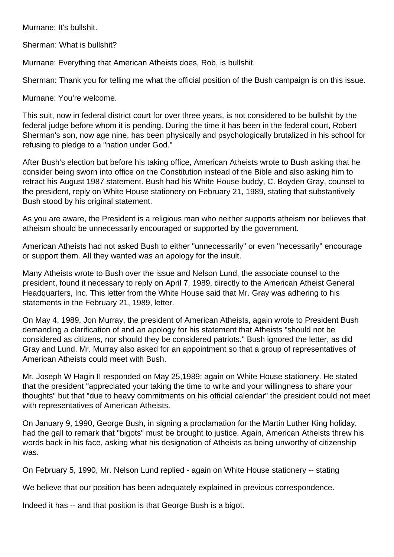Murnane: It's bullshit.

Sherman: What is bullshit?

Murnane: Everything that American Atheists does, Rob, is bullshit.

Sherman: Thank you for telling me what the official position of the Bush campaign is on this issue.

Murnane: You're welcome.

This suit, now in federal district court for over three years, is not considered to be bullshit by the federal judge before whom it is pending. During the time it has been in the federal court, Robert Sherman's son, now age nine, has been physically and psychologically brutalized in his school for refusing to pledge to a "nation under God."

After Bush's election but before his taking office, American Atheists wrote to Bush asking that he consider being sworn into office on the Constitution instead of the Bible and also asking him to retract his August 1987 statement. Bush had his White House buddy, C. Boyden Gray, counsel to the president, reply on White House stationery on February 21, 1989, stating that substantively Bush stood by his original statement.

As you are aware, the President is a religious man who neither supports atheism nor believes that atheism should be unnecessarily encouraged or supported by the government.

American Atheists had not asked Bush to either "unnecessarily" or even "necessarily" encourage or support them. All they wanted was an apology for the insult.

Many Atheists wrote to Bush over the issue and Nelson Lund, the associate counsel to the president, found it necessary to reply on April 7, 1989, directly to the American Atheist General Headquarters, Inc. This letter from the White House said that Mr. Gray was adhering to his statements in the February 21, 1989, letter.

On May 4, 1989, Jon Murray, the president of American Atheists, again wrote to President Bush demanding a clarification of and an apology for his statement that Atheists "should not be considered as citizens, nor should they be considered patriots." Bush ignored the letter, as did Gray and Lund. Mr. Murray also asked for an appointment so that a group of representatives of American Atheists could meet with Bush.

Mr. Joseph W Hagin II responded on May 25,1989: again on White House stationery. He stated that the president "appreciated your taking the time to write and your willingness to share your thoughts" but that "due to heavy commitments on his official calendar" the president could not meet with representatives of American Atheists.

On January 9, 1990, George Bush, in signing a proclamation for the Martin Luther King holiday, had the gall to remark that "bigots" must be brought to justice. Again, American Atheists threw his words back in his face, asking what his designation of Atheists as being unworthy of citizenship was.

On February 5, 1990, Mr. Nelson Lund replied - again on White House stationery -- stating

We believe that our position has been adequately explained in previous correspondence.

Indeed it has -- and that position is that George Bush is a bigot.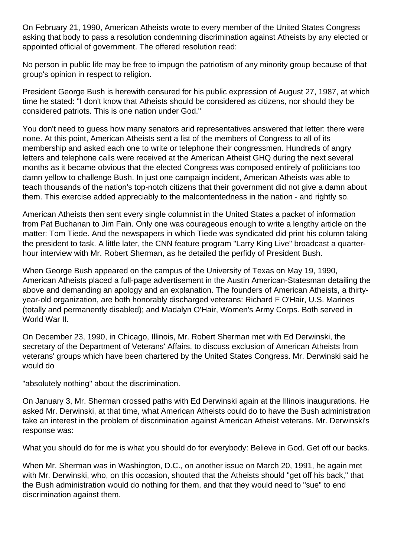On February 21, 1990, American Atheists wrote to every member of the United States Congress asking that body to pass a resolution condemning discrimination against Atheists by any elected or appointed official of government. The offered resolution read:

No person in public life may be free to impugn the patriotism of any minority group because of that group's opinion in respect to religion.

President George Bush is herewith censured for his public expression of August 27, 1987, at which time he stated: "I don't know that Atheists should be considered as citizens, nor should they be considered patriots. This is one nation under God."

You don't need to guess how many senators arid representatives answered that letter: there were none. At this point, American Atheists sent a list of the members of Congress to all of its membership and asked each one to write or telephone their congressmen. Hundreds of angry letters and telephone calls were received at the American Atheist GHQ during the next several months as it became obvious that the elected Congress was composed entirely of politicians too damn yellow to challenge Bush. In just one campaign incident, American Atheists was able to teach thousands of the nation's top-notch citizens that their government did not give a damn about them. This exercise added appreciably to the malcontentedness in the nation - and rightly so.

American Atheists then sent every single columnist in the United States a packet of information from Pat Buchanan to Jim Fain. Only one was courageous enough to write a lengthy article on the matter: Tom Tiede. And the newspapers in which Tiede was syndicated did print his column taking the president to task. A little later, the CNN feature program "Larry King Live" broadcast a quarterhour interview with Mr. Robert Sherman, as he detailed the perfidy of President Bush.

When George Bush appeared on the campus of the University of Texas on May 19, 1990, American Atheists placed a full-page advertisement in the Austin American-Statesman detailing the above and demanding an apology and an explanation. The founders of American Atheists, a thirtyyear-old organization, are both honorably discharged veterans: Richard F O'Hair, U.S. Marines (totally and permanently disabled); and Madalyn O'Hair, Women's Army Corps. Both served in World War II.

On December 23, 1990, in Chicago, Illinois, Mr. Robert Sherman met with Ed Derwinski, the secretary of the Department of Veterans' Affairs, to discuss exclusion of American Atheists from veterans' groups which have been chartered by the United States Congress. Mr. Derwinski said he would do

"absolutely nothing" about the discrimination.

On January 3, Mr. Sherman crossed paths with Ed Derwinski again at the Illinois inaugurations. He asked Mr. Derwinski, at that time, what American Atheists could do to have the Bush administration take an interest in the problem of discrimination against American Atheist veterans. Mr. Derwinski's response was:

What you should do for me is what you should do for everybody: Believe in God. Get off our backs.

When Mr. Sherman was in Washington, D.C., on another issue on March 20, 1991, he again met with Mr. Derwinski, who, on this occasion, shouted that the Atheists should "get off his back." that the Bush administration would do nothing for them, and that they would need to "sue" to end discrimination against them.